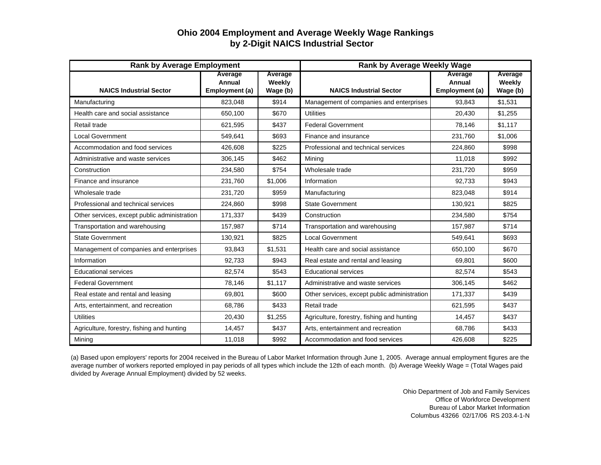## **by 2-Digit NAICS Industrial Sector Ohio 2004 Employment and Average Weekly Wage Rankings**

| <b>Rank by Average Employment</b>            |                                     |                               | <b>Rank by Average Weekly Wage</b>           |                                     |                               |
|----------------------------------------------|-------------------------------------|-------------------------------|----------------------------------------------|-------------------------------------|-------------------------------|
| <b>NAICS Industrial Sector</b>               | Average<br>Annual<br>Employment (a) | Average<br>Weekly<br>Wage (b) | <b>NAICS Industrial Sector</b>               | Average<br>Annual<br>Employment (a) | Average<br>Weekly<br>Wage (b) |
| Manufacturing                                | 823.048                             | \$914                         | Management of companies and enterprises      | 93,843                              | \$1,531                       |
| Health care and social assistance            | 650,100                             | \$670                         | <b>Utilities</b>                             | 20,430                              | \$1,255                       |
| Retail trade                                 | 621,595                             | \$437                         | <b>Federal Government</b>                    | 78,146                              | \$1,117                       |
| <b>Local Government</b>                      | 549,641                             | \$693                         | Finance and insurance                        | 231,760                             | \$1,006                       |
| Accommodation and food services              | 426.608                             | \$225                         | Professional and technical services          | 224.860                             | \$998                         |
| Administrative and waste services            | 306,145                             | \$462                         | Mining                                       | 11,018                              | \$992                         |
| Construction                                 | 234,580                             | \$754                         | Wholesale trade                              | 231,720                             | \$959                         |
| Finance and insurance                        | 231,760                             | \$1,006                       | Information                                  | 92,733                              | \$943                         |
| Wholesale trade                              | 231,720                             | \$959                         | Manufacturing                                | 823,048                             | \$914                         |
| Professional and technical services          | 224,860                             | \$998                         | <b>State Government</b>                      | 130,921                             | \$825                         |
| Other services, except public administration | 171,337                             | \$439                         | Construction                                 | 234,580                             | \$754                         |
| Transportation and warehousing               | 157,987                             | \$714                         | Transportation and warehousing               | 157,987                             | \$714                         |
| <b>State Government</b>                      | 130,921                             | \$825                         | <b>Local Government</b>                      | 549,641                             | \$693                         |
| Management of companies and enterprises      | 93.843                              | \$1,531                       | Health care and social assistance            | 650,100                             | \$670                         |
| Information                                  | 92,733                              | \$943                         | Real estate and rental and leasing           | 69,801                              | \$600                         |
| <b>Educational services</b>                  | 82,574                              | \$543                         | <b>Educational services</b>                  | 82,574                              | \$543                         |
| <b>Federal Government</b>                    | 78.146                              | \$1.117                       | Administrative and waste services            | 306,145                             | \$462                         |
| Real estate and rental and leasing           | 69,801                              | \$600                         | Other services, except public administration | 171,337                             | \$439                         |
| Arts, entertainment, and recreation          | 68,786                              | \$433                         | Retail trade                                 | 621,595                             | \$437                         |
| <b>Utilities</b>                             | 20,430                              | \$1,255                       | Agriculture, forestry, fishing and hunting   | 14,457                              | \$437                         |
| Agriculture, forestry, fishing and hunting   | 14,457                              | \$437                         | Arts, entertainment and recreation           | 68,786                              | \$433                         |
| Mining                                       | 11,018                              | \$992                         | Accommodation and food services              | 426,608                             | \$225                         |

(a) Based upon employers' reports for 2004 received in the Bureau of Labor Market Information through June 1, 2005. Average annual employment figures are the average number of workers reported employed in pay periods of all types which include the 12th of each month. (b) Average Weekly Wage = (Total Wages paid divided by Average Annual Employment) divided by 52 weeks.

> Ohio Department of Job and Family Services Office of Workforce Development Bureau of Labor Market Information Columbus 43266 02/17/06 RS 203.4-1-N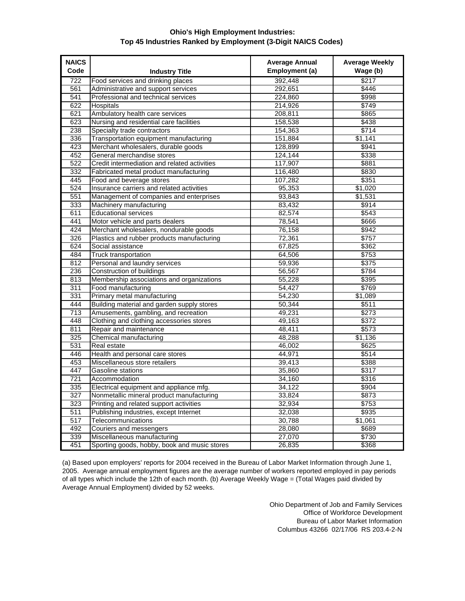## **Ohio's High Employment Industries: Top 45 Industries Ranked by Employment (3-Digit NAICS Codes)**

| <b>NAICS</b><br>Code |                                              | <b>Average Annual</b><br>Employment (a) | <b>Average Weekly</b><br>Wage (b) |
|----------------------|----------------------------------------------|-----------------------------------------|-----------------------------------|
| 722                  | <b>Industry Title</b>                        |                                         | \$217                             |
|                      | Food services and drinking places            | 392,448<br>292,651                      |                                   |
| 561<br>541           | Administrative and support services          |                                         | \$446                             |
|                      | Professional and technical services          | 224,860                                 | \$998                             |
| 622                  | <b>Hospitals</b>                             | 214,926                                 | \$749                             |
| 621                  | Ambulatory health care services              | 208,811                                 | \$865                             |
| 623                  | Nursing and residential care facilities      | 158,538                                 | \$438                             |
| 238                  | Specialty trade contractors                  | 154,363                                 | \$714                             |
| 336                  | Transportation equipment manufacturing       | 151,884                                 | \$1,141                           |
| 423                  | Merchant wholesalers, durable goods          | 128,899                                 | \$941                             |
| 452                  | General merchandise stores                   | 124,144                                 | \$338                             |
| 522                  | Credit intermediation and related activities | 117,907                                 | \$881                             |
| 332                  | Fabricated metal product manufacturing       | 116,480                                 | \$830                             |
| 445                  | Food and beverage stores                     | 107,282                                 | \$351                             |
| 524                  | Insurance carriers and related activities    | 95,353                                  | \$1,020                           |
| 551                  | Management of companies and enterprises      | 93,843                                  | \$1,531                           |
| 333                  | Machinery manufacturing                      | 83,432                                  | \$914                             |
| 611                  | <b>Educational services</b>                  | 82,574                                  | \$543                             |
| 441                  | Motor vehicle and parts dealers              | 78,541                                  | \$666                             |
| 424                  | Merchant wholesalers, nondurable goods       | 76,158                                  | \$942                             |
| 326                  | Plastics and rubber products manufacturing   | 72,361                                  | \$757                             |
| 624                  | Social assistance                            | 67,825                                  | \$362                             |
| 484                  | <b>Truck transportation</b>                  | 64,506                                  | \$753                             |
| 812                  | Personal and laundry services                | 59,936                                  | \$375                             |
| 236                  | Construction of buildings                    | 56,567                                  | \$784                             |
| 813                  | Membership associations and organizations    | 55,228                                  | \$395                             |
| 311                  | Food manufacturing                           | 54,427                                  | \$769                             |
| 331                  | Primary metal manufacturing                  | 54,230                                  | \$1,089                           |
| 444                  | Building material and garden supply stores   | 50,344                                  | \$511                             |
| 713                  | Amusements, gambling, and recreation         | 49,231                                  | \$273                             |
| 448                  | Clothing and clothing accessories stores     | 49,163                                  | \$372                             |
| 811                  | Repair and maintenance                       | 48,411                                  | \$573                             |
| 325                  | Chemical manufacturing                       | 48,288                                  | \$1,136                           |
| 531                  | Real estate                                  | 46,002                                  | \$625                             |
| 446                  | Health and personal care stores              | 44,971                                  | \$514                             |
| 453                  | Miscellaneous store retailers                | 39,413                                  | \$388                             |
| 447                  | Gasoline stations                            | 35,860                                  | \$317                             |
| 721                  | Accommodation                                | 34,160                                  | \$316                             |
| 335                  | Electrical equipment and appliance mfg.      | 34,122                                  | \$904                             |
| 327                  | Nonmetallic mineral product manufacturing    | 33,824                                  | \$873                             |
| 323                  | Printing and related support activities      | 32,934                                  | \$753                             |
| 511                  | Publishing industries, except Internet       | 32,038                                  | \$935                             |
| 517                  | Telecommunications                           | 30,788                                  | \$1,061                           |
| 492                  | Couriers and messengers                      | 28,080                                  | \$689                             |
| 339                  | Miscellaneous manufacturing                  | 27,070                                  | \$730                             |
| 451                  | Sporting goods, hobby, book and music stores | 26,835                                  | \$368                             |

(a) Based upon employers' reports for 2004 received in the Bureau of Labor Market Information through June 1, 2005. Average annual employment figures are the average number of workers reported employed in pay periods of all types which include the 12th of each month. (b) Average Weekly Wage = (Total Wages paid divided by Average Annual Employment) divided by 52 weeks.

> Ohio Department of Job and Family Services Office of Workforce Development Bureau of Labor Market Information Columbus 43266 02/17/06 RS 203.4-2-N